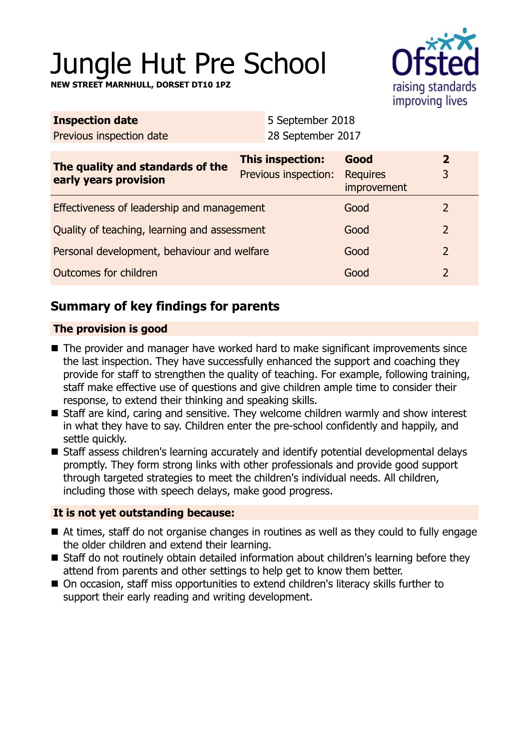# Jungle Hut Pre School

**NEW STREET MARNHULL, DORSET DT10 1PZ**



| <b>Inspection date</b>                                    |  | 5 September 2018                         |                                        |                |
|-----------------------------------------------------------|--|------------------------------------------|----------------------------------------|----------------|
| Previous inspection date                                  |  | 28 September 2017                        |                                        |                |
| The quality and standards of the<br>early years provision |  | This inspection:<br>Previous inspection: | Good<br><b>Requires</b><br>improvement | 2<br>3         |
| Effectiveness of leadership and management                |  |                                          | Good                                   | $\overline{2}$ |
| Quality of teaching, learning and assessment              |  |                                          | Good                                   | $\overline{2}$ |
| Personal development, behaviour and welfare               |  |                                          | Good                                   | $\overline{2}$ |
| <b>Outcomes for children</b>                              |  |                                          | Good                                   | $\overline{2}$ |

# **Summary of key findings for parents**

# **The provision is good**

- $\blacksquare$  The provider and manager have worked hard to make significant improvements since the last inspection. They have successfully enhanced the support and coaching they provide for staff to strengthen the quality of teaching. For example, following training, staff make effective use of questions and give children ample time to consider their response, to extend their thinking and speaking skills.
- Staff are kind, caring and sensitive. They welcome children warmly and show interest in what they have to say. Children enter the pre-school confidently and happily, and settle quickly.
- Staff assess children's learning accurately and identify potential developmental delays promptly. They form strong links with other professionals and provide good support through targeted strategies to meet the children's individual needs. All children, including those with speech delays, make good progress.

## **It is not yet outstanding because:**

- $\blacksquare$  At times, staff do not organise changes in routines as well as they could to fully engage the older children and extend their learning.
- Staff do not routinely obtain detailed information about children's learning before they attend from parents and other settings to help get to know them better.
- On occasion, staff miss opportunities to extend children's literacy skills further to support their early reading and writing development.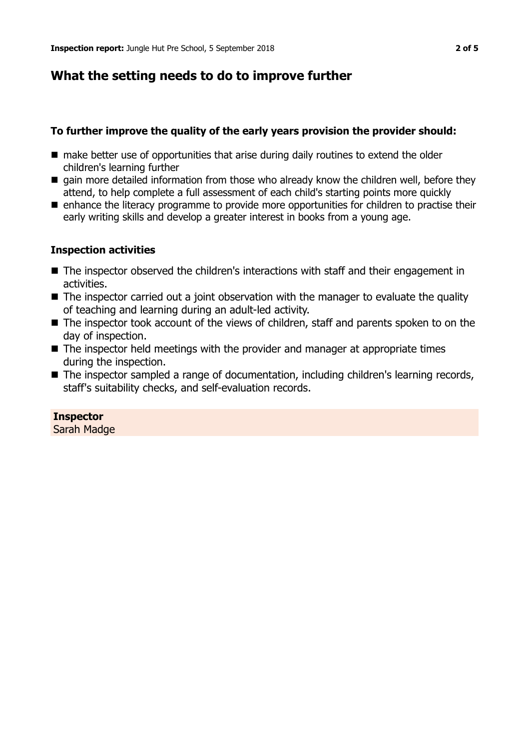# **What the setting needs to do to improve further**

## **To further improve the quality of the early years provision the provider should:**

- $\blacksquare$  make better use of opportunities that arise during daily routines to extend the older children's learning further
- $\blacksquare$  gain more detailed information from those who already know the children well, before they attend, to help complete a full assessment of each child's starting points more quickly
- **n** enhance the literacy programme to provide more opportunities for children to practise their early writing skills and develop a greater interest in books from a young age.

#### **Inspection activities**

- The inspector observed the children's interactions with staff and their engagement in activities.
- The inspector carried out a joint observation with the manager to evaluate the quality of teaching and learning during an adult-led activity.
- $\blacksquare$  The inspector took account of the views of children, staff and parents spoken to on the day of inspection.
- $\blacksquare$  The inspector held meetings with the provider and manager at appropriate times during the inspection.
- The inspector sampled a range of documentation, including children's learning records, staff's suitability checks, and self-evaluation records.

# **Inspector**

Sarah Madge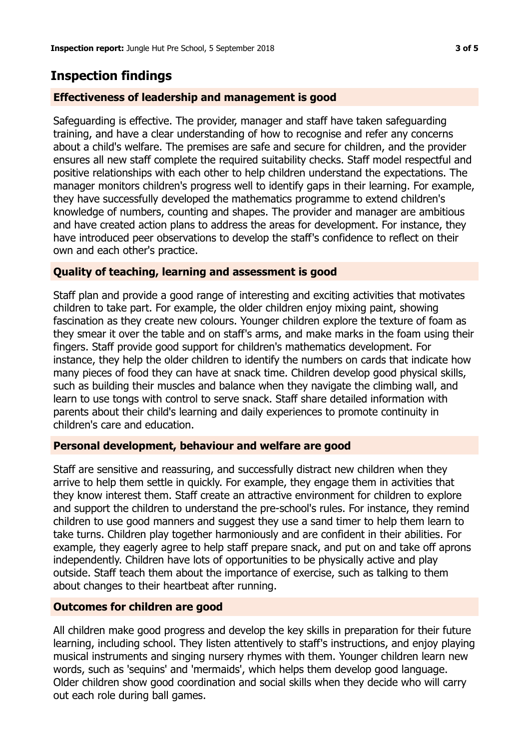# **Inspection findings**

## **Effectiveness of leadership and management is good**

Safeguarding is effective. The provider, manager and staff have taken safeguarding training, and have a clear understanding of how to recognise and refer any concerns about a child's welfare. The premises are safe and secure for children, and the provider ensures all new staff complete the required suitability checks. Staff model respectful and positive relationships with each other to help children understand the expectations. The manager monitors children's progress well to identify gaps in their learning. For example, they have successfully developed the mathematics programme to extend children's knowledge of numbers, counting and shapes. The provider and manager are ambitious and have created action plans to address the areas for development. For instance, they have introduced peer observations to develop the staff's confidence to reflect on their own and each other's practice.

## **Quality of teaching, learning and assessment is good**

Staff plan and provide a good range of interesting and exciting activities that motivates children to take part. For example, the older children enjoy mixing paint, showing fascination as they create new colours. Younger children explore the texture of foam as they smear it over the table and on staff's arms, and make marks in the foam using their fingers. Staff provide good support for children's mathematics development. For instance, they help the older children to identify the numbers on cards that indicate how many pieces of food they can have at snack time. Children develop good physical skills, such as building their muscles and balance when they navigate the climbing wall, and learn to use tongs with control to serve snack. Staff share detailed information with parents about their child's learning and daily experiences to promote continuity in children's care and education.

## **Personal development, behaviour and welfare are good**

Staff are sensitive and reassuring, and successfully distract new children when they arrive to help them settle in quickly. For example, they engage them in activities that they know interest them. Staff create an attractive environment for children to explore and support the children to understand the pre-school's rules. For instance, they remind children to use good manners and suggest they use a sand timer to help them learn to take turns. Children play together harmoniously and are confident in their abilities. For example, they eagerly agree to help staff prepare snack, and put on and take off aprons independently. Children have lots of opportunities to be physically active and play outside. Staff teach them about the importance of exercise, such as talking to them about changes to their heartbeat after running.

#### **Outcomes for children are good**

All children make good progress and develop the key skills in preparation for their future learning, including school. They listen attentively to staff's instructions, and enjoy playing musical instruments and singing nursery rhymes with them. Younger children learn new words, such as 'sequins' and 'mermaids', which helps them develop good language. Older children show good coordination and social skills when they decide who will carry out each role during ball games.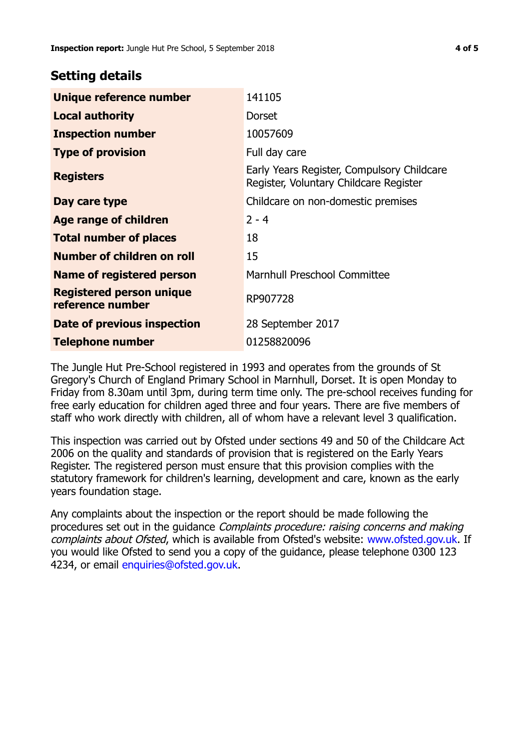# **Setting details**

| Unique reference number                             | 141105                                                                               |  |
|-----------------------------------------------------|--------------------------------------------------------------------------------------|--|
| <b>Local authority</b>                              | Dorset                                                                               |  |
| <b>Inspection number</b>                            | 10057609                                                                             |  |
| <b>Type of provision</b>                            | Full day care                                                                        |  |
| <b>Registers</b>                                    | Early Years Register, Compulsory Childcare<br>Register, Voluntary Childcare Register |  |
| Day care type                                       | Childcare on non-domestic premises                                                   |  |
| <b>Age range of children</b>                        | $2 - 4$                                                                              |  |
| <b>Total number of places</b>                       | 18                                                                                   |  |
| Number of children on roll                          | 15                                                                                   |  |
| Name of registered person                           | <b>Marnhull Preschool Committee</b>                                                  |  |
| <b>Registered person unique</b><br>reference number | RP907728                                                                             |  |
| Date of previous inspection                         | 28 September 2017                                                                    |  |
| <b>Telephone number</b>                             | 01258820096                                                                          |  |

The Jungle Hut Pre-School registered in 1993 and operates from the grounds of St Gregory's Church of England Primary School in Marnhull, Dorset. It is open Monday to Friday from 8.30am until 3pm, during term time only. The pre-school receives funding for free early education for children aged three and four years. There are five members of staff who work directly with children, all of whom have a relevant level 3 qualification.

This inspection was carried out by Ofsted under sections 49 and 50 of the Childcare Act 2006 on the quality and standards of provision that is registered on the Early Years Register. The registered person must ensure that this provision complies with the statutory framework for children's learning, development and care, known as the early years foundation stage.

Any complaints about the inspection or the report should be made following the procedures set out in the guidance Complaints procedure: raising concerns and making complaints about Ofsted, which is available from Ofsted's website: www.ofsted.gov.uk. If you would like Ofsted to send you a copy of the guidance, please telephone 0300 123 4234, or email [enquiries@ofsted.gov.uk.](mailto:enquiries@ofsted.gov.uk)